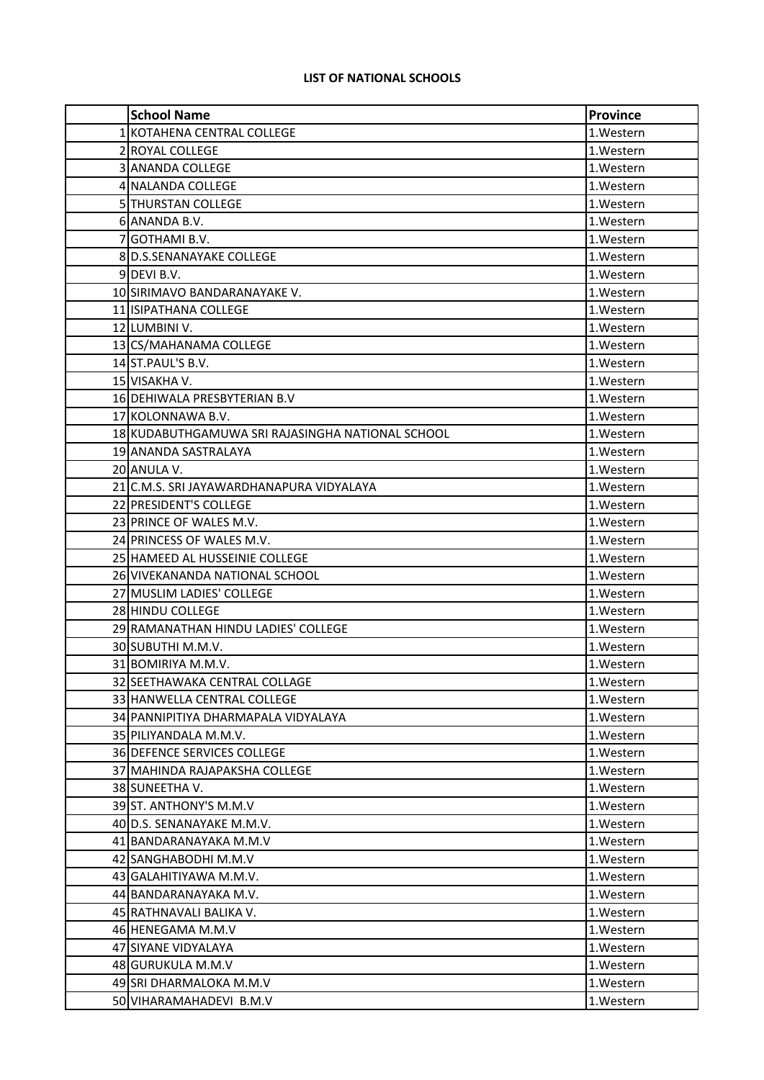## **LIST OF NATIONAL SCHOOLS**

| <b>School Name</b>                               | <b>Province</b> |
|--------------------------------------------------|-----------------|
| 1 KOTAHENA CENTRAL COLLEGE                       | 1.Western       |
| 2 ROYAL COLLEGE                                  | 1.Western       |
| <b>3 ANANDA COLLEGE</b>                          | 1.Western       |
| 4 NALANDA COLLEGE                                | 1.Western       |
| 5 THURSTAN COLLEGE                               | 1.Western       |
| 6 ANANDA B.V.                                    | 1.Western       |
| 7 GOTHAMI B.V.                                   | 1.Western       |
| 8 D.S.SENANAYAKE COLLEGE                         | 1.Western       |
| 9DEVI B.V.                                       | 1. Western      |
| 10 SIRIMAVO BANDARANAYAKE V.                     | 1.Western       |
| <b>11 ISIPATHANA COLLEGE</b>                     | 1.Western       |
| 12 LUMBINI V.                                    | 1. Western      |
| 13 CS/MAHANAMA COLLEGE                           | 1.Western       |
| 14 ST.PAUL'S B.V.                                | 1.Western       |
| 15 VISAKHA V.                                    | 1. Western      |
| 16 DEHIWALA PRESBYTERIAN B.V                     | 1.Western       |
| 17 KOLONNAWA B.V.                                | 1. Western      |
| 18 KUDABUTHGAMUWA SRI RAJASINGHA NATIONAL SCHOOL | 1.Western       |
| 19 ANANDA SASTRALAYA                             | 1. Western      |
| 20 ANULA V.                                      | 1.Western       |
| 21 IC.M.S. SRI JAYAWARDHANAPURA VIDYALAYA        | 1.Western       |
| 22 PRESIDENT'S COLLEGE                           | 1.Western       |
| 23 PRINCE OF WALES M.V.                          | 1. Western      |
| 24 PRINCESS OF WALES M.V.                        | 1.Western       |
| 25 HAMEED AL HUSSEINIE COLLEGE                   | 1.Western       |
| 26 VIVEKANANDA NATIONAL SCHOOL                   | 1.Western       |
| 27 MUSLIM LADIES' COLLEGE                        | 1.Western       |
| 28 HINDU COLLEGE                                 | 1.Western       |
| 29 RAMANATHAN HINDU LADIES' COLLEGE              | 1. Western      |
| 30 SUBUTHI M.M.V.                                | 1.Western       |
| 31 BOMIRIYA M.M.V.                               | 1.Western       |
| 32 SEETHAWAKA CENTRAL COLLAGE                    | 1.Western       |
| 33 HANWELLA CENTRAL COLLEGE                      | 1. Western      |
| 34 PANNIPITIYA DHARMAPALA VIDYALAYA              | 1. Western      |
| 35 PILIYANDALA M.M.V.                            | 1. Western      |
| 36 DEFENCE SERVICES COLLEGE                      | 1. Western      |
| 37 MAHINDA RAJAPAKSHA COLLEGE                    | 1. Western      |
| 38 SUNEETHA V.                                   | 1. Western      |
| 39 ST. ANTHONY'S M.M.V                           | 1. Western      |
| 40 D.S. SENANAYAKE M.M.V.                        | 1.Western       |
| 41 BANDARANAYAKA M.M.V                           | 1. Western      |
| 42 SANGHABODHI M.M.V                             | 1. Western      |
| 43 GALAHITIYAWA M.M.V.                           | 1. Western      |
| 44 BANDARANAYAKA M.V.                            | 1. Western      |
| 45 RATHNAVALI BALIKA V.                          | 1. Western      |
| 46 HENEGAMA M.M.V                                | 1. Western      |
| 47 SIYANE VIDYALAYA                              | 1. Western      |
| 48 GURUKULA M.M.V                                | 1. Western      |
| 49 SRI DHARMALOKA M.M.V                          | 1.Western       |
| 50 VIHARAMAHADEVI B.M.V                          | 1.Western       |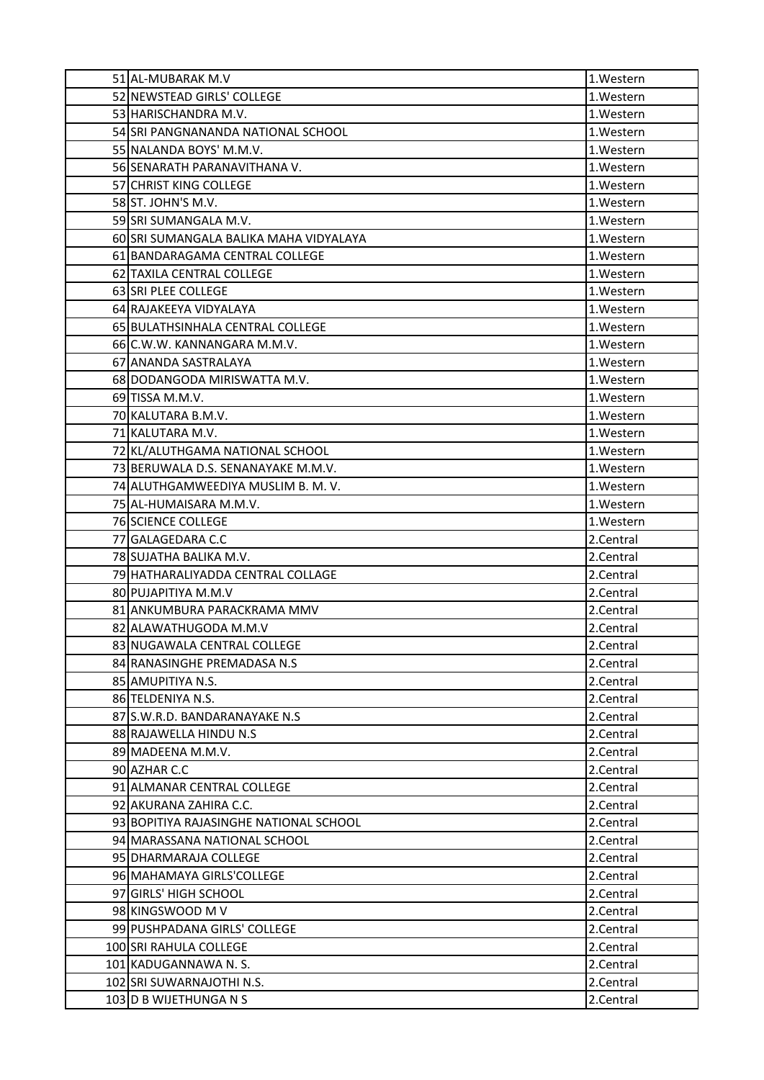| 51 AL-MUBARAK M.V                      | 1.Western |
|----------------------------------------|-----------|
| 52 NEWSTEAD GIRLS' COLLEGE             | 1.Western |
| 53 HARISCHANDRA M.V.                   | 1.Western |
| 54 SRI PANGNANANDA NATIONAL SCHOOL     | 1.Western |
| 55 NALANDA BOYS' M.M.V.                | 1.Western |
| 56 SENARATH PARANAVITHANA V.           | 1.Western |
| 57 CHRIST KING COLLEGE                 | 1.Western |
| 58 ST. JOHN'S M.V.                     | 1.Western |
| 59 SRI SUMANGALA M.V.                  | 1.Western |
| 60 SRI SUMANGALA BALIKA MAHA VIDYALAYA | 1.Western |
| 61 BANDARAGAMA CENTRAL COLLEGE         | 1.Western |
| 62 TAXILA CENTRAL COLLEGE              | 1.Western |
| 63 SRI PLEE COLLEGE                    | 1.Western |
| 64 RAJAKEEYA VIDYALAYA                 | 1.Western |
| 65 BULATHSINHALA CENTRAL COLLEGE       | 1.Western |
| 66 C.W.W. KANNANGARA M.M.V.            | 1.Western |
| 67 ANANDA SASTRALAYA                   | 1.Western |
| 68 DODANGODA MIRISWATTA M.V.           | 1.Western |
| 69 TISSA M.M.V.                        | 1.Western |
| 70 KALUTARA B.M.V.                     | 1.Western |
| 71 KALUTARA M.V.                       | 1.Western |
| 72 KL/ALUTHGAMA NATIONAL SCHOOL        | 1.Western |
| 73 BERUWALA D.S. SENANAYAKE M.M.V.     | 1.Western |
| 74 ALUTHGAMWEEDIYA MUSLIM B. M. V.     | 1.Western |
| 75 AL-HUMAISARA M.M.V.                 | 1.Western |
| <b>76 SCIENCE COLLEGE</b>              | 1.Western |
| 77 GALAGEDARA C.C                      | 2.Central |
| 78 SUJATHA BALIKA M.V.                 | 2.Central |
| 79 HATHARALIYADDA CENTRAL COLLAGE      | 2.Central |
| 80 PUJAPITIYA M.M.V                    | 2.Central |
| 81 ANKUMBURA PARACKRAMA MMV            | 2.Central |
| 82 ALAWATHUGODA M.M.V                  | 2.Central |
| 83 NUGAWALA CENTRAL COLLEGE            | 2.Central |
| 84 RANASINGHE PREMADASA N.S            | 2.Central |
| 85 AMUPITIYA N.S.                      | 2.Central |
| 86 TELDENIYA N.S.                      | 2.Central |
| 87 S.W.R.D. BANDARANAYAKE N.S          | 2.Central |
| 88 RAJAWELLA HINDU N.S                 | 2.Central |
| 89 MADEENA M.M.V.                      | 2.Central |
| 90 AZHAR C.C                           | 2.Central |
| 91 ALMANAR CENTRAL COLLEGE             | 2.Central |
| 92 AKURANA ZAHIRA C.C.                 | 2.Central |
| 93 BOPITIYA RAJASINGHE NATIONAL SCHOOL | 2.Central |
| 94 MARASSANA NATIONAL SCHOOL           | 2.Central |
| 95 DHARMARAJA COLLEGE                  | 2.Central |
| 96 MAHAMAYA GIRLS'COLLEGE              | 2.Central |
| 97 GIRLS' HIGH SCHOOL                  | 2.Central |
| 98 KINGSWOOD M V                       | 2.Central |
| 99 PUSHPADANA GIRLS' COLLEGE           | 2.Central |
| 100 SRI RAHULA COLLEGE                 | 2.Central |
| 101 KADUGANNAWA N.S.                   | 2.Central |
| 102 SRI SUWARNAJOTHI N.S.              | 2.Central |
| 103 D B WIJETHUNGA N S                 | 2.Central |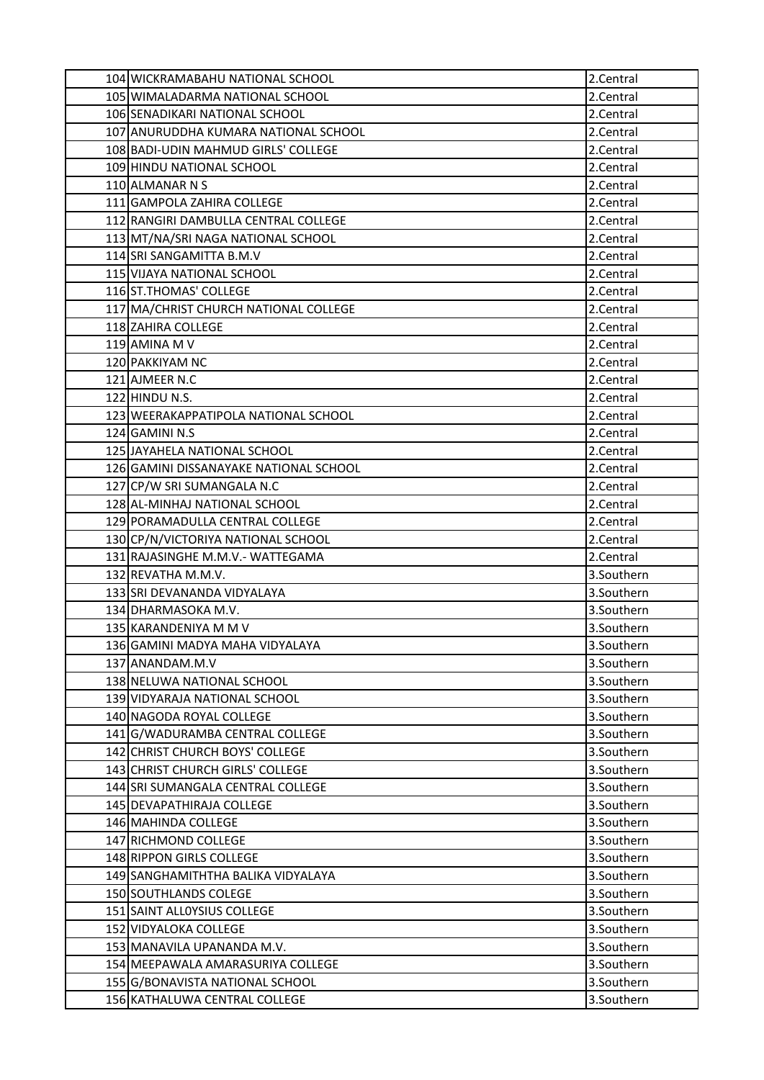| 104 WICKRAMABAHU NATIONAL SCHOOL       | 2.Central  |
|----------------------------------------|------------|
| 105 WIMALADARMA NATIONAL SCHOOL        | 2.Central  |
| 106 SENADIKARI NATIONAL SCHOOL         | 2.Central  |
| 107 ANURUDDHA KUMARA NATIONAL SCHOOL   | 2.Central  |
| 108 BADI-UDIN MAHMUD GIRLS' COLLEGE    | 2.Central  |
| 109 HINDU NATIONAL SCHOOL              | 2.Central  |
| 110 ALMANAR N S                        | 2.Central  |
| 111 GAMPOLA ZAHIRA COLLEGE             | 2.Central  |
| 112 RANGIRI DAMBULLA CENTRAL COLLEGE   | 2.Central  |
| 113 MT/NA/SRI NAGA NATIONAL SCHOOL     | 2.Central  |
| 114 SRI SANGAMITTA B.M.V               | 2.Central  |
| 115 VIJAYA NATIONAL SCHOOL             | 2.Central  |
| 116 ST. THOMAS' COLLEGE                | 2.Central  |
| 117 MA/CHRIST CHURCH NATIONAL COLLEGE  | 2.Central  |
| 118 ZAHIRA COLLEGE                     | 2.Central  |
| 119 AMINA M V                          | 2.Central  |
| 120 PAKKIYAM NC                        | 2.Central  |
| 121 AJMEER N.C                         | 2.Central  |
| 122 HINDU N.S.                         | 2.Central  |
| 123 WEERAKAPPATIPOLA NATIONAL SCHOOL   | 2.Central  |
| 124 GAMINI N.S                         | 2.Central  |
| 125 JAYAHELA NATIONAL SCHOOL           | 2.Central  |
| 126 GAMINI DISSANAYAKE NATIONAL SCHOOL | 2.Central  |
| 127 CP/W SRI SUMANGALA N.C             | 2.Central  |
| 128 AL-MINHAJ NATIONAL SCHOOL          | 2.Central  |
| 129 PORAMADULLA CENTRAL COLLEGE        | 2.Central  |
| 130 CP/N/VICTORIYA NATIONAL SCHOOL     | 2.Central  |
| 131 RAJASINGHE M.M.V.- WATTEGAMA       | 2.Central  |
| 132 REVATHA M.M.V.                     | 3.Southern |
| 133 SRI DEVANANDA VIDYALAYA            | 3.Southern |
| 134 DHARMASOKA M.V.                    | 3.Southern |
| 135 KARANDENIYA M M V                  | 3.Southern |
| 136 GAMINI MADYA MAHA VIDYALAYA        | 3.Southern |
| 137 ANANDAM.M.V                        | 3.Southern |
| 138 NELUWA NATIONAL SCHOOL             | 3.Southern |
| 139 VIDYARAJA NATIONAL SCHOOL          | 3.Southern |
| 140 NAGODA ROYAL COLLEGE               | 3.Southern |
| 141 G/WADURAMBA CENTRAL COLLEGE        | 3.Southern |
| 142 CHRIST CHURCH BOYS' COLLEGE        | 3.Southern |
| 143 CHRIST CHURCH GIRLS' COLLEGE       | 3.Southern |
| 144 SRI SUMANGALA CENTRAL COLLEGE      | 3.Southern |
| 145 DEVAPATHIRAJA COLLEGE              | 3.Southern |
| 146 MAHINDA COLLEGE                    | 3.Southern |
| 147 RICHMOND COLLEGE                   | 3.Southern |
| 148 RIPPON GIRLS COLLEGE               | 3.Southern |
| 149 SANGHAMITHTHA BALIKA VIDYALAYA     | 3.Southern |
| 150 SOUTHLANDS COLEGE                  | 3.Southern |
| 151 SAINT ALLOYSIUS COLLEGE            | 3.Southern |
| 152 VIDYALOKA COLLEGE                  | 3.Southern |
| 153 MANAVILA UPANANDA M.V.             | 3.Southern |
| 154 MEEPAWALA AMARASURIYA COLLEGE      | 3.Southern |
| 155 G/BONAVISTA NATIONAL SCHOOL        | 3.Southern |
| 156 KATHALUWA CENTRAL COLLEGE          | 3.Southern |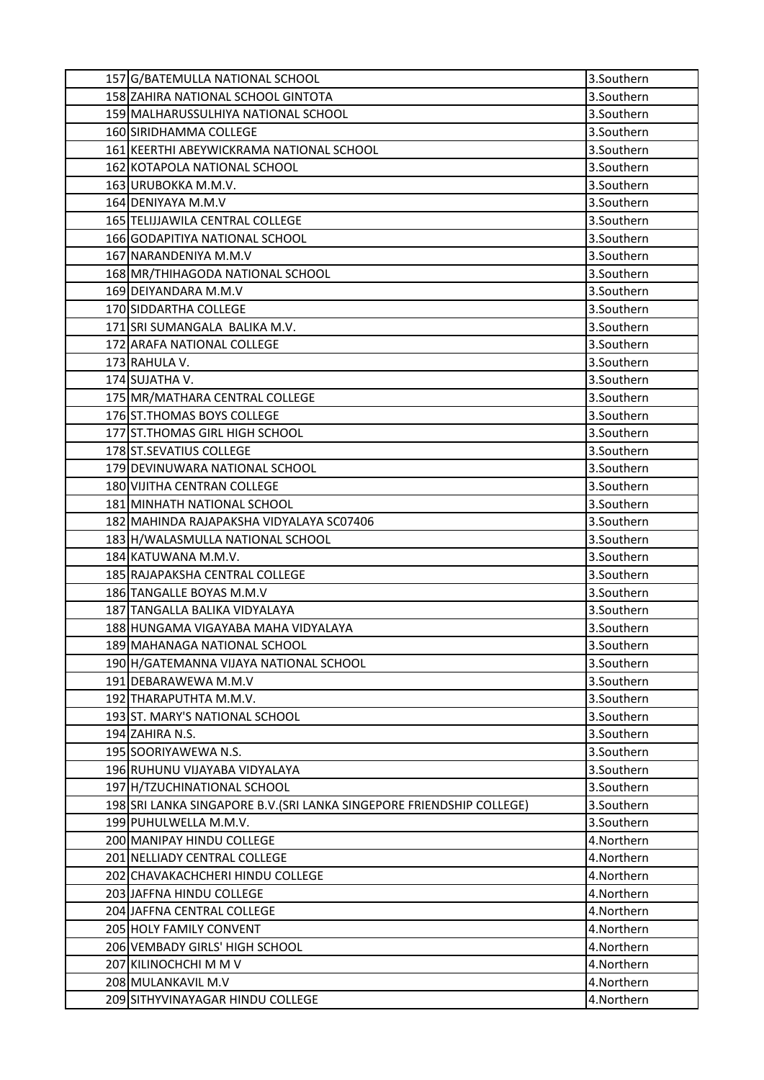| 157 G/BATEMULLA NATIONAL SCHOOL                                       | 3.Southern |
|-----------------------------------------------------------------------|------------|
| 158 ZAHIRA NATIONAL SCHOOL GINTOTA                                    | 3.Southern |
| 159 MALHARUSSULHIYA NATIONAL SCHOOL                                   | 3.Southern |
| 160 SIRIDHAMMA COLLEGE                                                | 3.Southern |
| 161 KEERTHI ABEYWICKRAMA NATIONAL SCHOOL                              | 3.Southern |
| 162 KOTAPOLA NATIONAL SCHOOL                                          | 3.Southern |
| 163 URUBOKKA M.M.V.                                                   | 3.Southern |
| 164 DENIYAYA M.M.V                                                    | 3.Southern |
| 165 TELIJJAWILA CENTRAL COLLEGE                                       | 3.Southern |
| 166 GODAPITIYA NATIONAL SCHOOL                                        | 3.Southern |
| 167 NARANDENIYA M.M.V                                                 | 3.Southern |
| 168 MR/THIHAGODA NATIONAL SCHOOL                                      | 3.Southern |
| 169 DEIYANDARA M.M.V                                                  | 3.Southern |
| 170 SIDDARTHA COLLEGE                                                 | 3.Southern |
| 171 SRI SUMANGALA BALIKA M.V.                                         | 3.Southern |
| 172 ARAFA NATIONAL COLLEGE                                            | 3.Southern |
| 173 RAHULA V.                                                         | 3.Southern |
| 174 SUJATHA V.                                                        | 3.Southern |
| 175 MR/MATHARA CENTRAL COLLEGE                                        | 3.Southern |
| 176 ST. THOMAS BOYS COLLEGE                                           | 3.Southern |
| 177 ST. THOMAS GIRL HIGH SCHOOL                                       | 3.Southern |
| 178 ST. SEVATIUS COLLEGE                                              | 3.Southern |
| 179 DEVINUWARA NATIONAL SCHOOL                                        | 3.Southern |
| 180 VIJITHA CENTRAN COLLEGE                                           | 3.Southern |
| 181 MINHATH NATIONAL SCHOOL                                           | 3.Southern |
| 182 MAHINDA RAJAPAKSHA VIDYALAYA SC07406                              | 3.Southern |
| 183 H/WALASMULLA NATIONAL SCHOOL                                      | 3.Southern |
| 184 KATUWANA M.M.V.                                                   | 3.Southern |
| 185 RAJAPAKSHA CENTRAL COLLEGE                                        | 3.Southern |
| 186 TANGALLE BOYAS M.M.V                                              | 3.Southern |
| 187 TANGALLA BALIKA VIDYALAYA                                         | 3.Southern |
| 188 HUNGAMA VIGAYABA MAHA VIDYALAYA                                   | 3.Southern |
| 189 MAHANAGA NATIONAL SCHOOL                                          | 3.Southern |
| 190 H/GATEMANNA VIJAYA NATIONAL SCHOOL                                | 3.Southern |
| 191 DEBARAWEWA M.M.V                                                  | 3.Southern |
| 192 THARAPUTHTA M.M.V.                                                | 3.Southern |
| 193 ST. MARY'S NATIONAL SCHOOL                                        | 3.Southern |
| 194 ZAHIRA N.S.                                                       | 3.Southern |
| 195 SOORIYAWEWA N.S.                                                  | 3.Southern |
| 196 RUHUNU VIJAYABA VIDYALAYA                                         | 3.Southern |
| 197 H/TZUCHINATIONAL SCHOOL                                           | 3.Southern |
| 198 SRI LANKA SINGAPORE B.V. (SRI LANKA SINGEPORE FRIENDSHIP COLLEGE) | 3.Southern |
| 199 PUHULWELLA M.M.V.                                                 | 3.Southern |
| 200 MANIPAY HINDU COLLEGE                                             | 4.Northern |
| 201 NELLIADY CENTRAL COLLEGE                                          | 4.Northern |
| 202 CHAVAKACHCHERI HINDU COLLEGE                                      | 4.Northern |
| 203 JAFFNA HINDU COLLEGE                                              | 4.Northern |
| 204 JAFFNA CENTRAL COLLEGE                                            | 4.Northern |
| 205 HOLY FAMILY CONVENT                                               | 4.Northern |
| 206 VEMBADY GIRLS' HIGH SCHOOL                                        | 4.Northern |
| 207 KILINOCHCHI M M V                                                 | 4.Northern |
| 208 MULANKAVIL M.V                                                    | 4.Northern |
| 209 SITHYVINAYAGAR HINDU COLLEGE                                      | 4.Northern |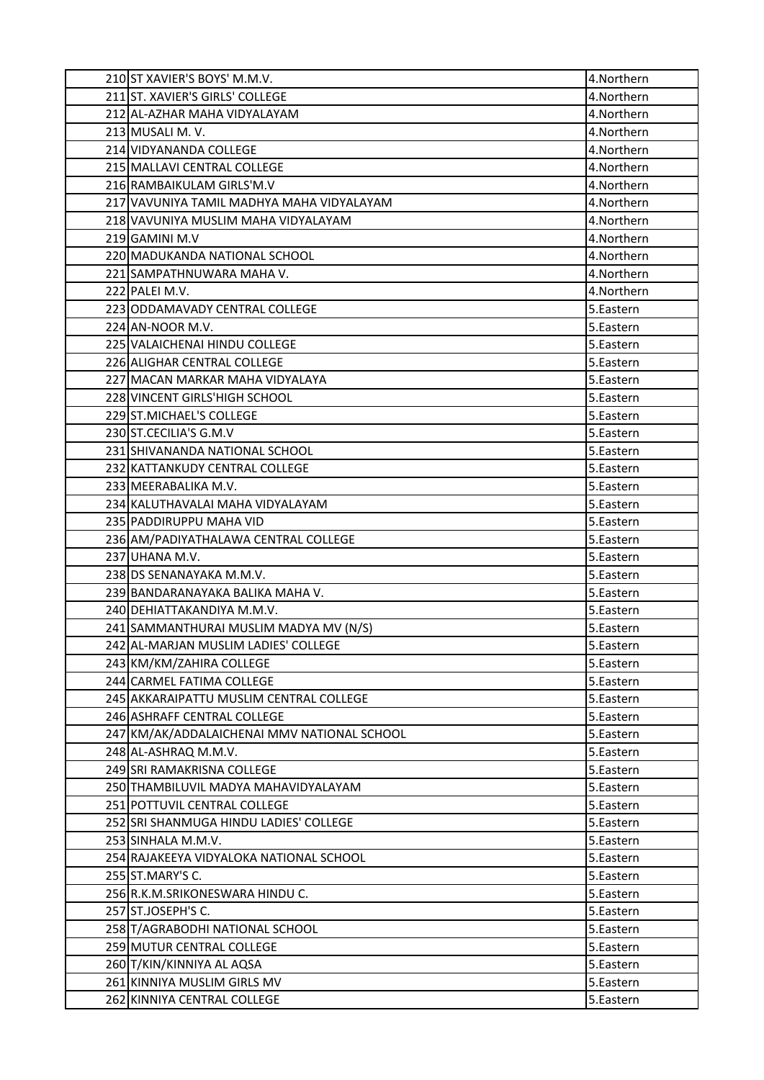| 210 ST XAVIER'S BOYS' M.M.V.                | 4.Northern  |
|---------------------------------------------|-------------|
| 211 ST. XAVIER'S GIRLS' COLLEGE             | 4.Northern  |
| 212 AL-AZHAR MAHA VIDYALAYAM                | 4.Northern  |
| 213 MUSALI M.V.                             | 4.Northern  |
| 214 VIDYANANDA COLLEGE                      | 4.Northern  |
| 215 MALLAVI CENTRAL COLLEGE                 | 4.Northern  |
| 216 RAMBAIKULAM GIRLS'M.V                   | 4. Northern |
| 217 VAVUNIYA TAMIL MADHYA MAHA VIDYALAYAM   | 4.Northern  |
| 218 VAVUNIYA MUSLIM MAHA VIDYALAYAM         | 4.Northern  |
| 219 GAMINI M.V                              | 4.Northern  |
| 220 MADUKANDA NATIONAL SCHOOL               | 4.Northern  |
| 221 SAMPATHNUWARA MAHA V.                   | 4.Northern  |
| 222 PALEI M.V.                              | 4.Northern  |
| 223 ODDAMAVADY CENTRAL COLLEGE              | 5.Eastern   |
| 224 AN-NOOR M.V.                            | 5.Eastern   |
| 225 VALAICHENAI HINDU COLLEGE               | 5.Eastern   |
| 226 ALIGHAR CENTRAL COLLEGE                 | 5.Eastern   |
| 227 MACAN MARKAR MAHA VIDYALAYA             | 5.Eastern   |
| 228 VINCENT GIRLS'HIGH SCHOOL               | 5.Eastern   |
| 229 ST.MICHAEL'S COLLEGE                    | 5.Eastern   |
| 230 ST.CECILIA'S G.M.V                      | 5.Eastern   |
| 231 SHIVANANDA NATIONAL SCHOOL              | 5.Eastern   |
| 232 KATTANKUDY CENTRAL COLLEGE              | 5.Eastern   |
| 233 MEERABALIKA M.V.                        | 5.Eastern   |
| 234 KALUTHAVALAI MAHA VIDYALAYAM            | 5.Eastern   |
| 235 PADDIRUPPU MAHA VID                     | 5.Eastern   |
| 236 AM/PADIYATHALAWA CENTRAL COLLEGE        | 5.Eastern   |
| 237 UHANA M.V.                              | 5.Eastern   |
| 238 DS SENANAYAKA M.M.V.                    | 5.Eastern   |
| 239 BANDARANAYAKA BALIKA MAHA V.            | 5.Eastern   |
| 240 DEHIATTAKANDIYA M.M.V.                  | 5.Eastern   |
| 241 SAMMANTHURAI MUSLIM MADYA MV (N/S)      | 5.Eastern   |
| 242 AL-MARJAN MUSLIM LADIES' COLLEGE        | 5.Eastern   |
| 243 KM/KM/ZAHIRA COLLEGE                    | 5.Eastern   |
| 244 CARMEL FATIMA COLLEGE                   | 5.Eastern   |
| 245 AKKARAIPATTU MUSLIM CENTRAL COLLEGE     | 5.Eastern   |
| 246 ASHRAFF CENTRAL COLLEGE                 | 5.Eastern   |
| 247 KM/AK/ADDALAICHENAI MMV NATIONAL SCHOOL | 5.Eastern   |
| 248 AL-ASHRAQ M.M.V.                        | 5.Eastern   |
| 249 SRI RAMAKRISNA COLLEGE                  | 5.Eastern   |
| 250 THAMBILUVIL MADYA MAHAVIDYALAYAM        | 5.Eastern   |
| 251 POTTUVIL CENTRAL COLLEGE                | 5.Eastern   |
| 252 SRI SHANMUGA HINDU LADIES' COLLEGE      | 5.Eastern   |
| 253 SINHALA M.M.V.                          | 5.Eastern   |
| 254 RAJAKEEYA VIDYALOKA NATIONAL SCHOOL     | 5.Eastern   |
| 255 ST.MARY'S C.                            | 5.Eastern   |
| 256 R.K.M.SRIKONESWARA HINDU C.             | 5.Eastern   |
| 257 ST.JOSEPH'S C.                          | 5.Eastern   |
| 258 T/AGRABODHI NATIONAL SCHOOL             | 5.Eastern   |
| 259 MUTUR CENTRAL COLLEGE                   | 5.Eastern   |
| 260 T/KIN/KINNIYA AL AQSA                   | 5.Eastern   |
| 261 KINNIYA MUSLIM GIRLS MV                 | 5.Eastern   |
| 262 KINNIYA CENTRAL COLLEGE                 | 5.Eastern   |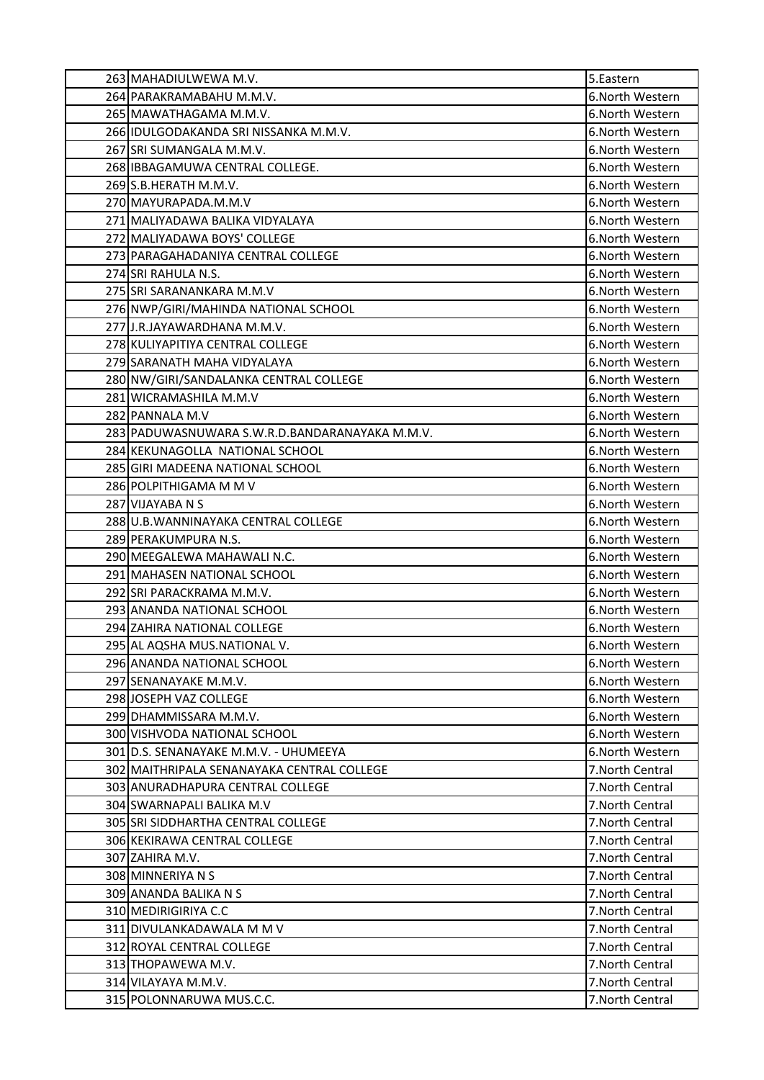| 263 MAHADIULWEWA M.V.                          | 5.Eastern        |
|------------------------------------------------|------------------|
| 264 PARAKRAMABAHU M.M.V.                       | 6.North Western  |
| 265 MAWATHAGAMA M.M.V.                         | 6. North Western |
| 266 IDULGODAKANDA SRI NISSANKA M.M.V.          | 6. North Western |
| 267 SRI SUMANGALA M.M.V.                       | 6. North Western |
| 268 IBBAGAMUWA CENTRAL COLLEGE.                | 6.North Western  |
| 269 S.B.HERATH M.M.V.                          | 6. North Western |
| 270 MAYURAPADA.M.M.V                           | 6. North Western |
| 271 MALIYADAWA BALIKA VIDYALAYA                | 6. North Western |
| 272 MALIYADAWA BOYS' COLLEGE                   | 6. North Western |
| 273 PARAGAHADANIYA CENTRAL COLLEGE             | 6. North Western |
| 274 SRI RAHULA N.S.                            | 6. North Western |
| 275 SRI SARANANKARA M.M.V                      | 6. North Western |
| 276 NWP/GIRI/MAHINDA NATIONAL SCHOOL           | 6. North Western |
| 277 J.R.JAYAWARDHANA M.M.V.                    | 6. North Western |
| 278 KULIYAPITIYA CENTRAL COLLEGE               | 6. North Western |
| 279 SARANATH MAHA VIDYALAYA                    | 6. North Western |
| 280 NW/GIRI/SANDALANKA CENTRAL COLLEGE         | 6. North Western |
| 281 WICRAMASHILA M.M.V                         | 6. North Western |
| 282 PANNALA M.V                                | 6.North Western  |
| 283 PADUWASNUWARA S.W.R.D.BANDARANAYAKA M.M.V. | 6.North Western  |
| 284 KEKUNAGOLLA NATIONAL SCHOOL                | 6. North Western |
| 285 GIRI MADEENA NATIONAL SCHOOL               | 6. North Western |
| 286 POLPITHIGAMA M M V                         | 6. North Western |
| 287 VIJAYABA N S                               | 6.North Western  |
| 288 U.B. WANNINAYAKA CENTRAL COLLEGE           | 6.North Western  |
| 289 PERAKUMPURA N.S.                           | 6.North Western  |
| 290 MEEGALEWA MAHAWALI N.C.                    | 6.North Western  |
| 291 MAHASEN NATIONAL SCHOOL                    | 6. North Western |
| 292 SRI PARACKRAMA M.M.V.                      | 6.North Western  |
| 293 ANANDA NATIONAL SCHOOL                     | 6. North Western |
| 294 ZAHIRA NATIONAL COLLEGE                    | 6. North Western |
| 295 AL AQSHA MUS.NATIONAL V.                   | 6.North Western  |
| 296 ANANDA NATIONAL SCHOOL                     | 6. North Western |
| 297 SENANAYAKE M.M.V.                          | 6. North Western |
| 298 JOSEPH VAZ COLLEGE                         | 6.North Western  |
| 299 DHAMMISSARA M.M.V.                         | 6. North Western |
| 300 VISHVODA NATIONAL SCHOOL                   | 6. North Western |
| 301 D.S. SENANAYAKE M.M.V. - UHUMEEYA          | 6. North Western |
| 302 MAITHRIPALA SENANAYAKA CENTRAL COLLEGE     | 7. North Central |
| 303 ANURADHAPURA CENTRAL COLLEGE               | 7. North Central |
| 304 SWARNAPALI BALIKA M.V                      | 7. North Central |
| 305 SRI SIDDHARTHA CENTRAL COLLEGE             | 7. North Central |
| 306 KEKIRAWA CENTRAL COLLEGE                   | 7.North Central  |
| 307 ZAHIRA M.V.                                | 7. North Central |
| 308 MINNERIYA N S                              | 7. North Central |
| 309 ANANDA BALIKA N S                          | 7. North Central |
| 310 MEDIRIGIRIYA C.C                           | 7. North Central |
| 311 DIVULANKADAWALA M M V                      | 7. North Central |
| 312 ROYAL CENTRAL COLLEGE                      | 7. North Central |
| 313 THOPAWEWA M.V.                             | 7. North Central |
| 314 VILAYAYA M.M.V.                            | 7. North Central |
| 315 POLONNARUWA MUS.C.C.                       | 7. North Central |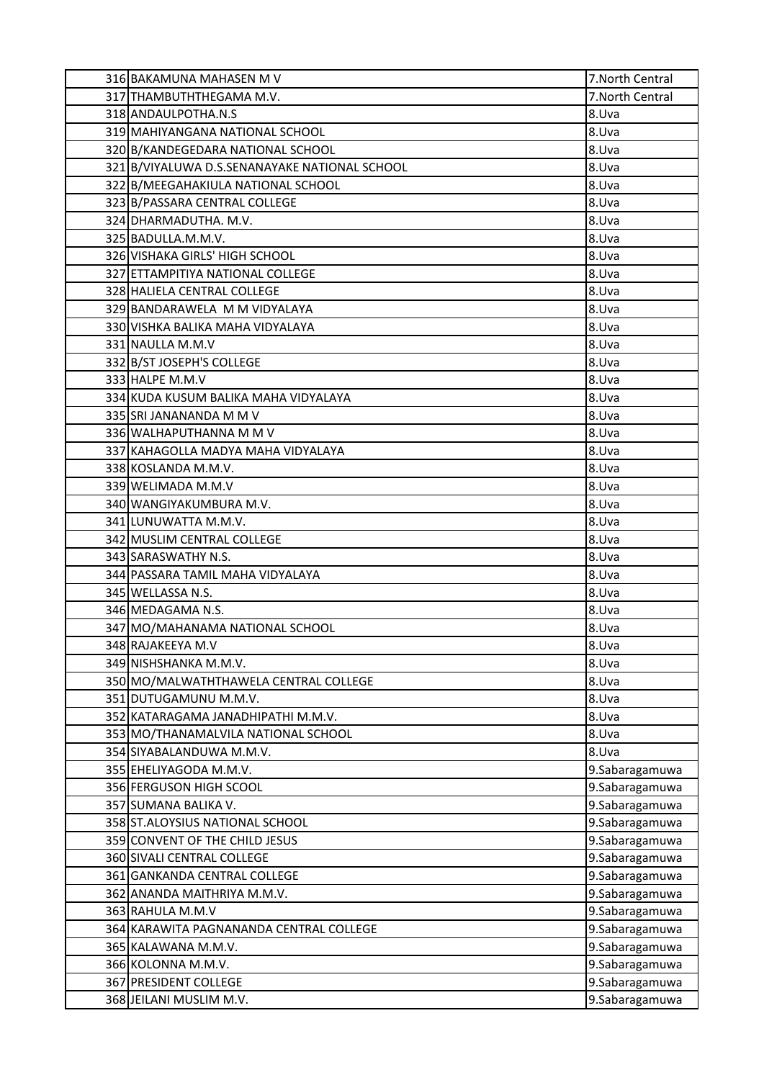| 316 BAKAMUNA MAHASEN M V                      | 7. North Central |
|-----------------------------------------------|------------------|
| 317 THAMBUTHTHEGAMA M.V.                      | 7. North Central |
| 318 ANDAULPOTHA.N.S                           | 8.Uva            |
| 319 MAHIYANGANA NATIONAL SCHOOL               | 8.Uva            |
| 320 B/KANDEGEDARA NATIONAL SCHOOL             | 8.Uva            |
| 321 B/VIYALUWA D.S.SENANAYAKE NATIONAL SCHOOL | 8.Uva            |
| 322 B/MEEGAHAKIULA NATIONAL SCHOOL            | 8.Uva            |
| 323 B/PASSARA CENTRAL COLLEGE                 | 8.Uva            |
| 324 DHARMADUTHA. M.V.                         | 8.Uva            |
| 325 BADULLA.M.M.V.                            | 8.Uva            |
| 326 VISHAKA GIRLS' HIGH SCHOOL                | 8.Uva            |
| 327 ETTAMPITIYA NATIONAL COLLEGE              | 8.Uva            |
| 328 HALIELA CENTRAL COLLEGE                   | 8.Uva            |
| 329 BANDARAWELA M M VIDYALAYA                 | 8.Uva            |
| 330 VISHKA BALIKA MAHA VIDYALAYA              | 8.Uva            |
| 331 NAULLA M.M.V                              | 8.Uva            |
| 332 B/ST JOSEPH'S COLLEGE                     | 8.Uva            |
| 333 HALPE M.M.V                               | 8.Uva            |
| 334 KUDA KUSUM BALIKA MAHA VIDYALAYA          | 8.Uva            |
| 335 SRI JANANANDA M M V                       | 8.Uva            |
| 336 WALHAPUTHANNA M M V                       | 8.Uva            |
| 337 KAHAGOLLA MADYA MAHA VIDYALAYA            | 8.Uva            |
| 338 KOSLANDA M.M.V.                           | 8.Uva            |
| 339 WELIMADA M.M.V                            | 8.Uva            |
| 340 WANGIYAKUMBURA M.V.                       | 8.Uva            |
| 341 LUNUWATTA M.M.V.                          | 8.Uva            |
| 342 MUSLIM CENTRAL COLLEGE                    | 8.Uva            |
| 343 SARASWATHY N.S.                           | 8.Uva            |
| 344 PASSARA TAMIL MAHA VIDYALAYA              | 8.Uva            |
| 345 WELLASSA N.S.                             | 8.Uva            |
| 346 MEDAGAMA N.S.                             | 8.Uva            |
| 347 MO/MAHANAMA NATIONAL SCHOOL               | 8.Uva            |
| 348 RAJAKEEYA M.V                             | 8.Uva            |
| 349 NISHSHANKA M.M.V.                         | 8.Uva            |
| 350 MO/MALWATHTHAWELA CENTRAL COLLEGE         | 8.Uva            |
| 351 DUTUGAMUNU M.M.V.                         | 8.Uva            |
| 352 KATARAGAMA JANADHIPATHI M.M.V.            | 8.Uva            |
| 353 MO/THANAMALVILA NATIONAL SCHOOL           | 8.Uva            |
| 354 SIYABALANDUWA M.M.V.                      | 8.Uva            |
| 355 EHELIYAGODA M.M.V.                        | 9.Sabaragamuwa   |
| 356 FERGUSON HIGH SCOOL                       | 9.Sabaragamuwa   |
| 357 SUMANA BALIKA V.                          | 9.Sabaragamuwa   |
| 358 ST.ALOYSIUS NATIONAL SCHOOL               | 9.Sabaragamuwa   |
| 359 CONVENT OF THE CHILD JESUS                | 9.Sabaragamuwa   |
| 360 SIVALI CENTRAL COLLEGE                    | 9.Sabaragamuwa   |
| 361 GANKANDA CENTRAL COLLEGE                  | 9.Sabaragamuwa   |
| 362 ANANDA MAITHRIYA M.M.V.                   | 9.Sabaragamuwa   |
| 363 RAHULA M.M.V                              | 9.Sabaragamuwa   |
| 364 KARAWITA PAGNANANDA CENTRAL COLLEGE       | 9.Sabaragamuwa   |
| 365 KALAWANA M.M.V.                           | 9.Sabaragamuwa   |
| 366 KOLONNA M.M.V.                            | 9.Sabaragamuwa   |
| 367 PRESIDENT COLLEGE                         | 9.Sabaragamuwa   |
| 368 JEILANI MUSLIM M.V.                       | 9.Sabaragamuwa   |